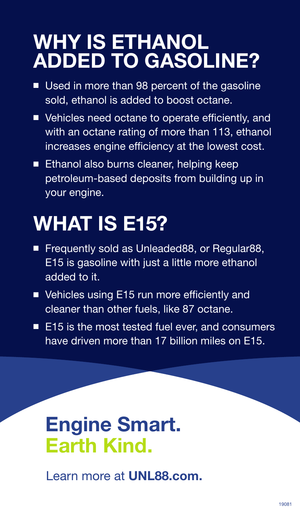### **WHY IS ETHANOL ADDED TO GASOLINE?**

- Used in more than 98 percent of the gasoline sold, ethanol is added to boost octane.
- Vehicles need octane to operate efficiently, and with an octane rating of more than 113, ethanol increases engine efficiency at the lowest cost.
- Ethanol also burns cleaner, helping keep petroleum-based deposits from building up in your engine.

# **WHAT IS E15?**

- Frequently sold as Unleaded88, or Regular88, E15 is gasoline with just a little more ethanol added to it.
- Vehicles using E15 run more efficiently and cleaner than other fuels, like 87 octane.
- E15 is the most tested fuel ever, and consumers have driven more than 17 billion miles on E15.

### **Engine Smart. Earth Kind.**

Learn more at **UNL88.com.**